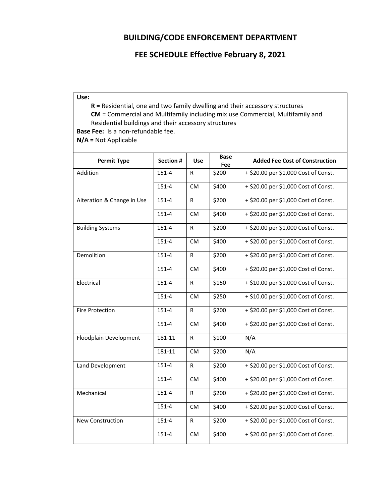## **BUILDING/CODE ENFORCEMENT DEPARTMENT**

## **FEE SCHEDULE Effective February 8, 2021**

| ۰,<br>$-$<br>. . | . .<br>۰. |
|------------------|-----------|
|------------------|-----------|

**R =** Residential, one and two family dwelling and their accessory structures **CM** = Commercial and Multifamily including mix use Commercial, Multifamily and Residential buildings and their accessory structures **Base Fee:** Is a non‐refundable fee.

**N/A =** Not Applicable

| <b>Permit Type</b>         | <b>Section#</b> | <b>Use</b>   | <b>Base</b><br>Fee | <b>Added Fee Cost of Construction</b>        |
|----------------------------|-----------------|--------------|--------------------|----------------------------------------------|
| Addition                   | 151-4           | $\mathsf{R}$ | \$200              | + \$20.00 per \$1,000 Cost of Const.         |
|                            | 151-4           | <b>CM</b>    | \$400              | + \$20.00 per \$1,000 Cost of Const.         |
| Alteration & Change in Use | 151-4           | R            | \$200              | + \$20.00 per \$1,000 Cost of Const.         |
|                            | 151-4           | <b>CM</b>    | \$400              | + \$20.00 per \$1,000 Cost of Const.         |
| <b>Building Systems</b>    | 151-4           | R            | \$200              | $\sqrt{+$ \$20.00 per \$1,000 Cost of Const. |
|                            | 151-4           | <b>CM</b>    | \$400              | + \$20.00 per \$1,000 Cost of Const.         |
| Demolition                 | 151-4           | ${\sf R}$    | \$200              | + \$20.00 per \$1,000 Cost of Const.         |
|                            | 151-4           | <b>CM</b>    | \$400              | + \$20.00 per \$1,000 Cost of Const.         |
| Electrical                 | 151-4           | R            | \$150              | + \$10.00 per \$1,000 Cost of Const.         |
|                            | 151-4           | <b>CM</b>    | \$250              | + \$10.00 per \$1,000 Cost of Const.         |
| <b>Fire Protection</b>     | 151-4           | R            | \$200              | + \$20.00 per \$1,000 Cost of Const.         |
|                            | 151-4           | <b>CM</b>    | \$400              | + \$20.00 per \$1,000 Cost of Const.         |
| Floodplain Development     | 181-11          | $\mathsf{R}$ | \$100              | N/A                                          |
|                            | 181-11          | <b>CM</b>    | \$200              | N/A                                          |
| Land Development           | 151-4           | $\mathsf{R}$ | \$200              | + \$20.00 per \$1,000 Cost of Const.         |
|                            | 151-4           | <b>CM</b>    | \$400              | + \$20.00 per \$1,000 Cost of Const.         |
| Mechanical                 | 151-4           | $\mathsf{R}$ | \$200              | + \$20.00 per \$1,000 Cost of Const.         |
|                            | 151-4           | <b>CM</b>    | \$400              | + \$20.00 per \$1,000 Cost of Const.         |
| New Construction           | 151-4           | ${\sf R}$    | \$200              | + \$20.00 per \$1,000 Cost of Const.         |
|                            | 151-4           | <b>CM</b>    | \$400              | + \$20.00 per \$1,000 Cost of Const.         |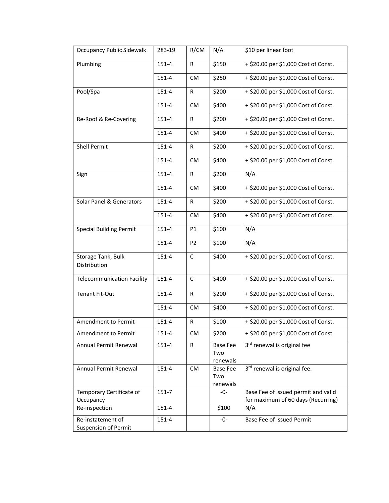| <b>Occupancy Public Sidewalk</b>                 | 283-19    | R/CM           | N/A                                | \$10 per linear foot                                                      |
|--------------------------------------------------|-----------|----------------|------------------------------------|---------------------------------------------------------------------------|
| Plumbing                                         | 151-4     | R              | \$150                              | $+$ \$20.00 per \$1,000 Cost of Const.                                    |
|                                                  | 151-4     | <b>CM</b>      | \$250                              | + \$20.00 per \$1,000 Cost of Const.                                      |
| Pool/Spa                                         | 151-4     | R              | \$200                              | + \$20.00 per \$1,000 Cost of Const.                                      |
|                                                  | 151-4     | <b>CM</b>      | \$400                              | + \$20.00 per \$1,000 Cost of Const.                                      |
| Re-Roof & Re-Covering                            | 151-4     | R              | \$200                              | + \$20.00 per \$1,000 Cost of Const.                                      |
|                                                  | 151-4     | <b>CM</b>      | \$400                              | + \$20.00 per \$1,000 Cost of Const.                                      |
| <b>Shell Permit</b>                              | 151-4     | R              | \$200                              | + \$20.00 per \$1,000 Cost of Const.                                      |
|                                                  | 151-4     | <b>CM</b>      | \$400                              | + \$20.00 per \$1,000 Cost of Const.                                      |
| Sign                                             | 151-4     | R              | \$200                              | N/A                                                                       |
|                                                  | 151-4     | <b>CM</b>      | \$400                              | + \$20.00 per \$1,000 Cost of Const.                                      |
| Solar Panel & Generators                         | 151-4     | R              | \$200                              | + \$20.00 per \$1,000 Cost of Const.                                      |
|                                                  | 151-4     | <b>CM</b>      | \$400                              | + \$20.00 per \$1,000 Cost of Const.                                      |
| <b>Special Building Permit</b>                   | 151-4     | P1             | \$100                              | N/A                                                                       |
|                                                  | 151-4     | P <sub>2</sub> | \$100                              | N/A                                                                       |
| Storage Tank, Bulk<br>Distribution               | 151-4     | C              | \$400                              | + \$20.00 per \$1,000 Cost of Const.                                      |
| <b>Telecommunication Facility</b>                | 151-4     | C              | \$400                              | + \$20.00 per \$1,000 Cost of Const.                                      |
| <b>Tenant Fit-Out</b>                            | 151-4     | R              | \$200                              | + \$20.00 per \$1,000 Cost of Const.                                      |
|                                                  | 151-4     | <b>CM</b>      | \$400                              | + \$20.00 per \$1,000 Cost of Const.                                      |
| Amendment to Permit                              | 151-4     | R              | \$100                              | + \$20.00 per \$1,000 Cost of Const.                                      |
| Amendment to Permit                              | 151-4     | <b>CM</b>      | \$200                              | + \$20.00 per \$1,000 Cost of Const.                                      |
| Annual Permit Renewal                            | $151 - 4$ | R              | <b>Base Fee</b><br>Two<br>renewals | 3 <sup>rd</sup> renewal is original fee                                   |
| Annual Permit Renewal                            | 151-4     | <b>CM</b>      | Base Fee<br>Two<br>renewals        | 3rd renewal is original fee.                                              |
| Temporary Certificate of<br>Occupancy            | $151 - 7$ |                | $-0-$                              | Base Fee of issued permit and valid<br>for maximum of 60 days (Recurring) |
| Re-inspection                                    | 151-4     |                | \$100                              | N/A                                                                       |
| Re-instatement of<br><b>Suspension of Permit</b> | 151-4     |                | -0-                                | Base Fee of Issued Permit                                                 |